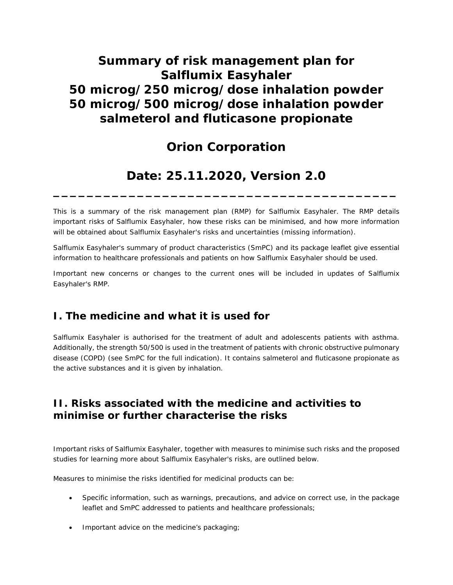# **Summary of risk management plan for Salflumix Easyhaler 50 microg/250 microg/dose inhalation powder 50 microg/500 microg/dose inhalation powder salmeterol and fluticasone propionate**

## **Orion Corporation**

## **Date: 25.11.2020, Version 2.0**

**\_\_\_\_\_\_\_\_\_\_\_\_\_\_\_\_\_\_\_\_\_\_\_\_\_\_\_\_\_\_\_\_\_\_\_\_\_\_\_\_\_**

This is a summary of the risk management plan (RMP) for Salflumix Easyhaler. The RMP details important risks of Salflumix Easyhaler, how these risks can be minimised, and how more information will be obtained about Salflumix Easyhaler's risks and uncertainties (missing information).

Salflumix Easyhaler's summary of product characteristics (SmPC) and its package leaflet give essential information to healthcare professionals and patients on how Salflumix Easyhaler should be used.

Important new concerns or changes to the current ones will be included in updates of Salflumix Easyhaler's RMP.

### **I. The medicine and what it is used for**

Salflumix Easyhaler is authorised for the treatment of adult and adolescents patients with asthma. Additionally, the strength 50/500 is used in the treatment of patients with chronic obstructive pulmonary disease (COPD) (see SmPC for the full indication). It contains salmeterol and fluticasone propionate as the active substances and it is given by inhalation.

### **II. Risks associated with the medicine and activities to minimise or further characterise the risks**

Important risks of Salflumix Easyhaler, together with measures to minimise such risks and the proposed studies for learning more about Salflumix Easyhaler's risks, are outlined below.

Measures to minimise the risks identified for medicinal products can be:

- Specific information, such as warnings, precautions, and advice on correct use, in the package leaflet and SmPC addressed to patients and healthcare professionals;
- Important advice on the medicine's packaging;